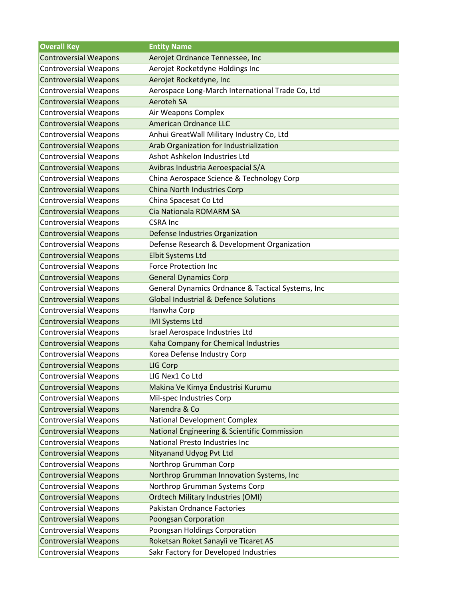| <b>Overall Key</b>           | <b>Entity Name</b>                                      |
|------------------------------|---------------------------------------------------------|
| <b>Controversial Weapons</b> | Aerojet Ordnance Tennessee, Inc                         |
| <b>Controversial Weapons</b> | Aerojet Rocketdyne Holdings Inc                         |
| <b>Controversial Weapons</b> | Aerojet Rocketdyne, Inc                                 |
| <b>Controversial Weapons</b> | Aerospace Long-March International Trade Co, Ltd        |
| <b>Controversial Weapons</b> | <b>Aeroteh SA</b>                                       |
| <b>Controversial Weapons</b> | Air Weapons Complex                                     |
| <b>Controversial Weapons</b> | <b>American Ordnance LLC</b>                            |
| <b>Controversial Weapons</b> | Anhui GreatWall Military Industry Co, Ltd               |
| <b>Controversial Weapons</b> | Arab Organization for Industrialization                 |
| <b>Controversial Weapons</b> | Ashot Ashkelon Industries Ltd                           |
| <b>Controversial Weapons</b> | Avibras Industria Aeroespacial S/A                      |
| <b>Controversial Weapons</b> | China Aerospace Science & Technology Corp               |
| <b>Controversial Weapons</b> | <b>China North Industries Corp</b>                      |
| <b>Controversial Weapons</b> | China Spacesat Co Ltd                                   |
| <b>Controversial Weapons</b> | Cia Nationala ROMARM SA                                 |
| <b>Controversial Weapons</b> | <b>CSRA Inc</b>                                         |
| <b>Controversial Weapons</b> | Defense Industries Organization                         |
| <b>Controversial Weapons</b> | Defense Research & Development Organization             |
| <b>Controversial Weapons</b> | <b>Elbit Systems Ltd</b>                                |
| <b>Controversial Weapons</b> | <b>Force Protection Inc</b>                             |
| <b>Controversial Weapons</b> | <b>General Dynamics Corp</b>                            |
| <b>Controversial Weapons</b> | General Dynamics Ordnance & Tactical Systems, Inc       |
| <b>Controversial Weapons</b> | <b>Global Industrial &amp; Defence Solutions</b>        |
| <b>Controversial Weapons</b> | Hanwha Corp                                             |
| <b>Controversial Weapons</b> | <b>IMI Systems Ltd</b>                                  |
| <b>Controversial Weapons</b> | Israel Aerospace Industries Ltd                         |
| <b>Controversial Weapons</b> | Kaha Company for Chemical Industries                    |
| <b>Controversial Weapons</b> | Korea Defense Industry Corp                             |
| <b>Controversial Weapons</b> | <b>LIG Corp</b>                                         |
| <b>Controversial Weapons</b> | LIG Nex1 Co Ltd                                         |
| <b>Controversial Weapons</b> | Makina Ve Kimya Endustrisi Kurumu                       |
| <b>Controversial Weapons</b> | Mil-spec Industries Corp                                |
| <b>Controversial Weapons</b> | Narendra & Co                                           |
| <b>Controversial Weapons</b> | National Development Complex                            |
| <b>Controversial Weapons</b> | <b>National Engineering &amp; Scientific Commission</b> |
| <b>Controversial Weapons</b> | National Presto Industries Inc                          |
| <b>Controversial Weapons</b> | <b>Nityanand Udyog Pvt Ltd</b>                          |
| <b>Controversial Weapons</b> | Northrop Grumman Corp                                   |
| <b>Controversial Weapons</b> | Northrop Grumman Innovation Systems, Inc                |
| <b>Controversial Weapons</b> | Northrop Grumman Systems Corp                           |
| <b>Controversial Weapons</b> | <b>Ordtech Military Industries (OMI)</b>                |
| <b>Controversial Weapons</b> | <b>Pakistan Ordnance Factories</b>                      |
| <b>Controversial Weapons</b> | Poongsan Corporation                                    |
| <b>Controversial Weapons</b> | Poongsan Holdings Corporation                           |
| <b>Controversial Weapons</b> | Roketsan Roket Sanayii ve Ticaret AS                    |
| <b>Controversial Weapons</b> | Sakr Factory for Developed Industries                   |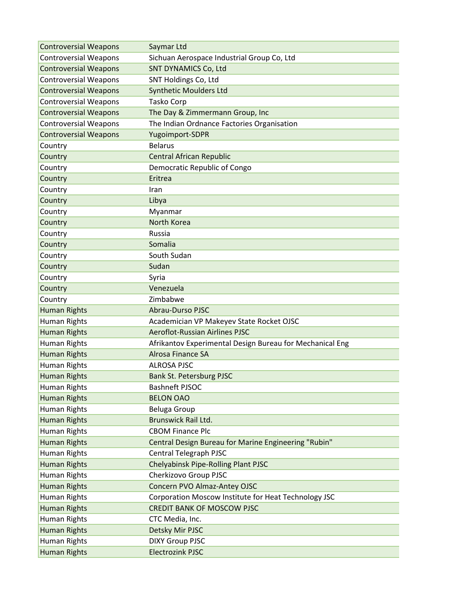| <b>Controversial Weapons</b> | Saymar Ltd                                               |
|------------------------------|----------------------------------------------------------|
| <b>Controversial Weapons</b> | Sichuan Aerospace Industrial Group Co, Ltd               |
| <b>Controversial Weapons</b> | <b>SNT DYNAMICS Co, Ltd</b>                              |
| <b>Controversial Weapons</b> | SNT Holdings Co, Ltd                                     |
| <b>Controversial Weapons</b> | <b>Synthetic Moulders Ltd</b>                            |
| <b>Controversial Weapons</b> | Tasko Corp                                               |
| <b>Controversial Weapons</b> | The Day & Zimmermann Group, Inc                          |
| <b>Controversial Weapons</b> | The Indian Ordnance Factories Organisation               |
| <b>Controversial Weapons</b> | Yugoimport-SDPR                                          |
| Country                      | <b>Belarus</b>                                           |
| Country                      | <b>Central African Republic</b>                          |
| Country                      | Democratic Republic of Congo                             |
| Country                      | Eritrea                                                  |
| Country                      | Iran                                                     |
| Country                      | Libya                                                    |
| Country                      | Myanmar                                                  |
| Country                      | North Korea                                              |
| Country                      | Russia                                                   |
| Country                      | Somalia                                                  |
| Country                      | South Sudan                                              |
| Country                      | Sudan                                                    |
| Country                      | Syria                                                    |
| Country                      | Venezuela                                                |
| Country                      | Zimbabwe                                                 |
| <b>Human Rights</b>          | <b>Abrau-Durso PJSC</b>                                  |
| Human Rights                 | Academician VP Makeyev State Rocket OJSC                 |
| <b>Human Rights</b>          | <b>Aeroflot-Russian Airlines PJSC</b>                    |
| Human Rights                 | Afrikantov Experimental Design Bureau for Mechanical Eng |
| <b>Human Rights</b>          | <b>Alrosa Finance SA</b>                                 |
| Human Rights                 | <b>ALROSA PJSC</b>                                       |
| <b>Human Rights</b>          | Bank St. Petersburg PJSC                                 |
| Human Rights                 | <b>Bashneft PJSOC</b>                                    |
| <b>Human Rights</b>          | <b>BELON OAO</b>                                         |
| Human Rights                 | <b>Beluga Group</b>                                      |
| <b>Human Rights</b>          | Brunswick Rail Ltd.                                      |
| Human Rights                 | <b>CBOM Finance Plc</b>                                  |
| <b>Human Rights</b>          | Central Design Bureau for Marine Engineering "Rubin"     |
| Human Rights                 | Central Telegraph PJSC                                   |
| <b>Human Rights</b>          | <b>Chelyabinsk Pipe-Rolling Plant PJSC</b>               |
| Human Rights                 | Cherkizovo Group PJSC                                    |
| <b>Human Rights</b>          | Concern PVO Almaz-Antey OJSC                             |
| Human Rights                 | Corporation Moscow Institute for Heat Technology JSC     |
| <b>Human Rights</b>          | <b>CREDIT BANK OF MOSCOW PJSC</b>                        |
| Human Rights                 | CTC Media, Inc.                                          |
| <b>Human Rights</b>          | Detsky Mir PJSC                                          |
| Human Rights                 | <b>DIXY Group PJSC</b>                                   |
| <b>Human Rights</b>          | <b>Electrozink PJSC</b>                                  |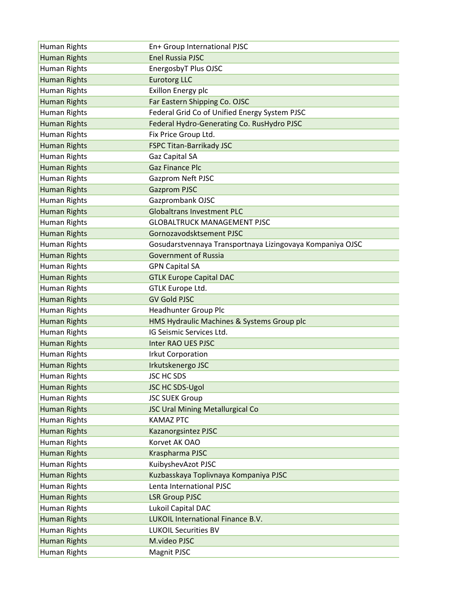| Human Rights        | En+ Group International PJSC                              |
|---------------------|-----------------------------------------------------------|
| <b>Human Rights</b> | <b>Enel Russia PJSC</b>                                   |
| Human Rights        | EnergosbyT Plus OJSC                                      |
| <b>Human Rights</b> | <b>Eurotorg LLC</b>                                       |
| Human Rights        | <b>Exillon Energy plc</b>                                 |
| <b>Human Rights</b> | Far Eastern Shipping Co. OJSC                             |
| Human Rights        | Federal Grid Co of Unified Energy System PJSC             |
| <b>Human Rights</b> | Federal Hydro-Generating Co. RusHydro PJSC                |
| Human Rights        | Fix Price Group Ltd.                                      |
| <b>Human Rights</b> | FSPC Titan-Barrikady JSC                                  |
| Human Rights        | Gaz Capital SA                                            |
| <b>Human Rights</b> | <b>Gaz Finance Plc</b>                                    |
| Human Rights        | Gazprom Neft PJSC                                         |
| <b>Human Rights</b> | <b>Gazprom PJSC</b>                                       |
| Human Rights        | Gazprombank OJSC                                          |
| <b>Human Rights</b> | <b>Globaltrans Investment PLC</b>                         |
| Human Rights        | <b>GLOBALTRUCK MANAGEMENT PJSC</b>                        |
| <b>Human Rights</b> | Gornozavodsktsement PJSC                                  |
| Human Rights        | Gosudarstvennaya Transportnaya Lizingovaya Kompaniya OJSC |
| <b>Human Rights</b> | <b>Government of Russia</b>                               |
| Human Rights        | <b>GPN Capital SA</b>                                     |
| <b>Human Rights</b> | <b>GTLK Europe Capital DAC</b>                            |
| Human Rights        | GTLK Europe Ltd.                                          |
| <b>Human Rights</b> | <b>GV Gold PJSC</b>                                       |
| Human Rights        | Headhunter Group Plc                                      |
| <b>Human Rights</b> | HMS Hydraulic Machines & Systems Group plc                |
| Human Rights        | IG Seismic Services Ltd.                                  |
| <b>Human Rights</b> | Inter RAO UES PJSC                                        |
| Human Rights        | <b>Irkut Corporation</b>                                  |
| <b>Human Rights</b> | Irkutskenergo JSC                                         |
| Human Rights        | <b>JSC HC SDS</b>                                         |
| <b>Human Rights</b> | <b>JSC HC SDS-Ugol</b>                                    |
| Human Rights        | <b>JSC SUEK Group</b>                                     |
| <b>Human Rights</b> | JSC Ural Mining Metallurgical Co                          |
| Human Rights        | <b>KAMAZ PTC</b>                                          |
| <b>Human Rights</b> | Kazanorgsintez PJSC                                       |
| Human Rights        | Korvet AK OAO                                             |
| <b>Human Rights</b> | Kraspharma PJSC                                           |
| Human Rights        | KuibyshevAzot PJSC                                        |
| <b>Human Rights</b> | Kuzbasskaya Toplivnaya Kompaniya PJSC                     |
| Human Rights        | Lenta International PJSC                                  |
| <b>Human Rights</b> | <b>LSR Group PJSC</b>                                     |
| Human Rights        | Lukoil Capital DAC                                        |
| <b>Human Rights</b> | LUKOIL International Finance B.V.                         |
| Human Rights        | <b>LUKOIL Securities BV</b>                               |
| <b>Human Rights</b> | M.video PJSC                                              |
| Human Rights        | Magnit PJSC                                               |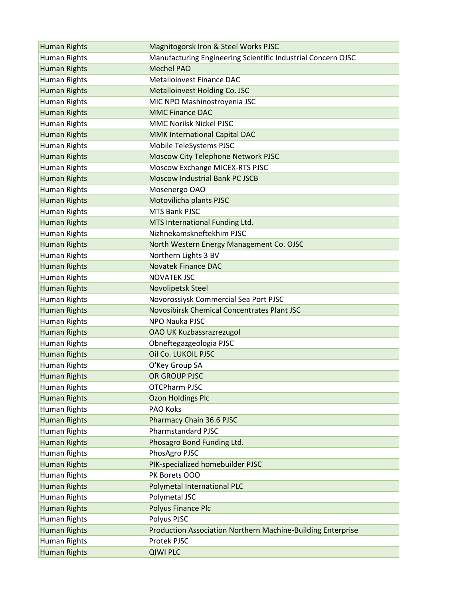| <b>Human Rights</b> | Magnitogorsk Iron & Steel Works PJSC                         |
|---------------------|--------------------------------------------------------------|
| Human Rights        | Manufacturing Engineering Scientific Industrial Concern OJSC |
| <b>Human Rights</b> | <b>Mechel PAO</b>                                            |
| Human Rights        | <b>Metalloinvest Finance DAC</b>                             |
| <b>Human Rights</b> | Metalloinvest Holding Co. JSC                                |
| Human Rights        | MIC NPO Mashinostroyenia JSC                                 |
| <b>Human Rights</b> | <b>MMC Finance DAC</b>                                       |
| Human Rights        | <b>MMC Norilsk Nickel PJSC</b>                               |
| <b>Human Rights</b> | MMK International Capital DAC                                |
| Human Rights        | Mobile TeleSystems PJSC                                      |
| <b>Human Rights</b> | Moscow City Telephone Network PJSC                           |
| Human Rights        | Moscow Exchange MICEX-RTS PJSC                               |
| <b>Human Rights</b> | <b>Moscow Industrial Bank PC JSCB</b>                        |
| Human Rights        | Mosenergo OAO                                                |
| <b>Human Rights</b> | Motovilicha plants PJSC                                      |
| Human Rights        | MTS Bank PJSC                                                |
| <b>Human Rights</b> | MTS International Funding Ltd.                               |
| <b>Human Rights</b> | Nizhnekamskneftekhim PJSC                                    |
| <b>Human Rights</b> | North Western Energy Management Co. OJSC                     |
| Human Rights        | Northern Lights 3 BV                                         |
| <b>Human Rights</b> | <b>Novatek Finance DAC</b>                                   |
| Human Rights        | <b>NOVATEK JSC</b>                                           |
| <b>Human Rights</b> | Novolipetsk Steel                                            |
| Human Rights        | Novorossiysk Commercial Sea Port PJSC                        |
| <b>Human Rights</b> | Novosibirsk Chemical Concentrates Plant JSC                  |
| Human Rights        | NPO Nauka PJSC                                               |
| <b>Human Rights</b> | OAO UK Kuzbassrazrezugol                                     |
| Human Rights        | Obneftegazgeologia PJSC                                      |
| <b>Human Rights</b> | Oil Co. LUKOIL PJSC                                          |
| Human Rights        | O'Key Group SA                                               |
| <b>Human Rights</b> | OR GROUP PJSC                                                |
| Human Rights        | <b>OTCPharm PJSC</b>                                         |
| <b>Human Rights</b> | <b>Ozon Holdings Plc</b>                                     |
| Human Rights        | <b>PAO Koks</b>                                              |
| <b>Human Rights</b> | Pharmacy Chain 36.6 PJSC                                     |
| Human Rights        | <b>Pharmstandard PJSC</b>                                    |
| <b>Human Rights</b> | Phosagro Bond Funding Ltd.                                   |
| Human Rights        | PhosAgro PJSC                                                |
| <b>Human Rights</b> | PIK-specialized homebuilder PJSC                             |
| Human Rights        | PK Borets OOO                                                |
| <b>Human Rights</b> | <b>Polymetal International PLC</b>                           |
| Human Rights        | Polymetal JSC                                                |
| <b>Human Rights</b> | Polyus Finance Plc                                           |
| Human Rights        | Polyus PJSC                                                  |
| <b>Human Rights</b> | Production Association Northern Machine-Building Enterprise  |
| Human Rights        | Protek PJSC                                                  |
| <b>Human Rights</b> | <b>QIWI PLC</b>                                              |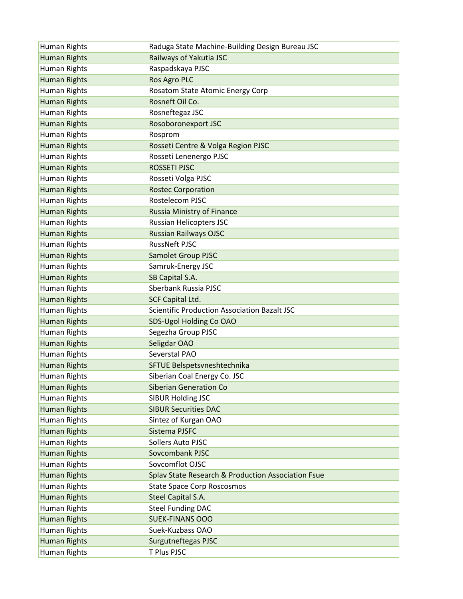| Human Rights        | Raduga State Machine-Building Design Bureau JSC     |
|---------------------|-----------------------------------------------------|
| <b>Human Rights</b> | Railways of Yakutia JSC                             |
| Human Rights        | Raspadskaya PJSC                                    |
| <b>Human Rights</b> | Ros Agro PLC                                        |
| Human Rights        | Rosatom State Atomic Energy Corp                    |
| <b>Human Rights</b> | Rosneft Oil Co.                                     |
| Human Rights        | Rosneftegaz JSC                                     |
| <b>Human Rights</b> | Rosoboronexport JSC                                 |
| Human Rights        | Rosprom                                             |
| <b>Human Rights</b> | Rosseti Centre & Volga Region PJSC                  |
| Human Rights        | Rosseti Lenenergo PJSC                              |
| <b>Human Rights</b> | <b>ROSSETI PJSC</b>                                 |
| Human Rights        | Rosseti Volga PJSC                                  |
| <b>Human Rights</b> | <b>Rostec Corporation</b>                           |
| Human Rights        | Rostelecom PJSC                                     |
| <b>Human Rights</b> | Russia Ministry of Finance                          |
| Human Rights        | <b>Russian Helicopters JSC</b>                      |
| <b>Human Rights</b> | <b>Russian Railways OJSC</b>                        |
| Human Rights        | <b>RussNeft PJSC</b>                                |
| <b>Human Rights</b> | <b>Samolet Group PJSC</b>                           |
| Human Rights        | Samruk-Energy JSC                                   |
| <b>Human Rights</b> | SB Capital S.A.                                     |
| <b>Human Rights</b> | Sberbank Russia PJSC                                |
| <b>Human Rights</b> | SCF Capital Ltd.                                    |
| Human Rights        | <b>Scientific Production Association Bazalt JSC</b> |
| <b>Human Rights</b> | SDS-Ugol Holding Co OAO                             |
| Human Rights        | Segezha Group PJSC                                  |
| <b>Human Rights</b> | Seligdar OAO                                        |
| Human Rights        | Severstal PAO                                       |
| <b>Human Rights</b> | SFTUE Belspetsvneshtechnika                         |
| <b>Human Rights</b> | Siberian Coal Energy Co. JSC                        |
| <b>Human Rights</b> | <b>Siberian Generation Co</b>                       |
| Human Rights        | <b>SIBUR Holding JSC</b>                            |
| <b>Human Rights</b> | <b>SIBUR Securities DAC</b>                         |
| Human Rights        | Sintez of Kurgan OAO                                |
| <b>Human Rights</b> | Sistema PJSFC                                       |
| Human Rights        | Sollers Auto PJSC                                   |
| <b>Human Rights</b> | Sovcombank PJSC                                     |
| Human Rights        | Sovcomflot OJSC                                     |
| <b>Human Rights</b> | Splav State Research & Production Association Fsue  |
| Human Rights        | <b>State Space Corp Roscosmos</b>                   |
| <b>Human Rights</b> | Steel Capital S.A.                                  |
| Human Rights        | <b>Steel Funding DAC</b>                            |
| <b>Human Rights</b> | <b>SUEK-FINANS OOO</b>                              |
| Human Rights        | Suek-Kuzbass OAO                                    |
| <b>Human Rights</b> | Surgutneftegas PJSC                                 |
| Human Rights        | T Plus PJSC                                         |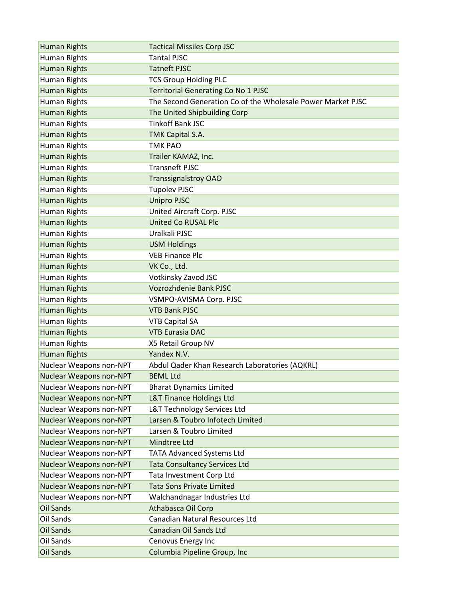| <b>Human Rights</b>            | <b>Tactical Missiles Corp JSC</b>                           |
|--------------------------------|-------------------------------------------------------------|
| Human Rights                   | <b>Tantal PJSC</b>                                          |
| <b>Human Rights</b>            | <b>Tatneft PJSC</b>                                         |
| Human Rights                   | <b>TCS Group Holding PLC</b>                                |
| <b>Human Rights</b>            | <b>Territorial Generating Co No 1 PJSC</b>                  |
| Human Rights                   | The Second Generation Co of the Wholesale Power Market PJSC |
| <b>Human Rights</b>            | The United Shipbuilding Corp                                |
| Human Rights                   | <b>Tinkoff Bank JSC</b>                                     |
| <b>Human Rights</b>            | TMK Capital S.A.                                            |
| Human Rights                   | <b>TMK PAO</b>                                              |
| <b>Human Rights</b>            | Trailer KAMAZ, Inc.                                         |
| Human Rights                   | <b>Transneft PJSC</b>                                       |
| <b>Human Rights</b>            | <b>Transsignalstroy OAO</b>                                 |
| Human Rights                   | <b>Tupolev PJSC</b>                                         |
| <b>Human Rights</b>            | <b>Unipro PJSC</b>                                          |
| <b>Human Rights</b>            | United Aircraft Corp. PJSC                                  |
| <b>Human Rights</b>            | <b>United Co RUSAL Plc</b>                                  |
| Human Rights                   | Uralkali PJSC                                               |
| <b>Human Rights</b>            | <b>USM Holdings</b>                                         |
| Human Rights                   | <b>VEB Finance Plc</b>                                      |
| <b>Human Rights</b>            | VK Co., Ltd.                                                |
| Human Rights                   | Votkinsky Zavod JSC                                         |
| <b>Human Rights</b>            | Vozrozhdenie Bank PJSC                                      |
| Human Rights                   | VSMPO-AVISMA Corp. PJSC                                     |
| <b>Human Rights</b>            | <b>VTB Bank PJSC</b>                                        |
| Human Rights                   | <b>VTB Capital SA</b>                                       |
| <b>Human Rights</b>            | <b>VTB Eurasia DAC</b>                                      |
| Human Rights                   | X5 Retail Group NV                                          |
| <b>Human Rights</b>            | Yandex N.V.                                                 |
| Nuclear Weapons non-NPT        | Abdul Qader Khan Research Laboratories (AQKRL)              |
| <b>Nuclear Weapons non-NPT</b> | <b>BEML Ltd</b>                                             |
| Nuclear Weapons non-NPT        | <b>Bharat Dynamics Limited</b>                              |
| <b>Nuclear Weapons non-NPT</b> | <b>L&amp;T Finance Holdings Ltd</b>                         |
| Nuclear Weapons non-NPT        | L&T Technology Services Ltd                                 |
| <b>Nuclear Weapons non-NPT</b> | Larsen & Toubro Infotech Limited                            |
| Nuclear Weapons non-NPT        | Larsen & Toubro Limited                                     |
| <b>Nuclear Weapons non-NPT</b> | <b>Mindtree Ltd</b>                                         |
| Nuclear Weapons non-NPT        | <b>TATA Advanced Systems Ltd</b>                            |
| <b>Nuclear Weapons non-NPT</b> | <b>Tata Consultancy Services Ltd</b>                        |
| Nuclear Weapons non-NPT        | Tata Investment Corp Ltd                                    |
| <b>Nuclear Weapons non-NPT</b> | <b>Tata Sons Private Limited</b>                            |
| Nuclear Weapons non-NPT        | Walchandnagar Industries Ltd                                |
| <b>Oil Sands</b>               | Athabasca Oil Corp                                          |
| Oil Sands                      | <b>Canadian Natural Resources Ltd</b>                       |
| <b>Oil Sands</b>               | Canadian Oil Sands Ltd                                      |
| Oil Sands                      | Cenovus Energy Inc                                          |
| <b>Oil Sands</b>               | Columbia Pipeline Group, Inc                                |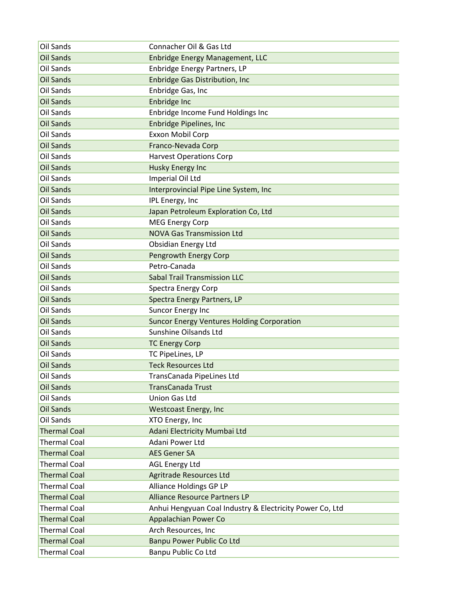| Oil Sands           | Connacher Oil & Gas Ltd                                  |
|---------------------|----------------------------------------------------------|
| <b>Oil Sands</b>    | Enbridge Energy Management, LLC                          |
| Oil Sands           | Enbridge Energy Partners, LP                             |
| <b>Oil Sands</b>    | Enbridge Gas Distribution, Inc                           |
| Oil Sands           | Enbridge Gas, Inc                                        |
| <b>Oil Sands</b>    | Enbridge Inc                                             |
| Oil Sands           | Enbridge Income Fund Holdings Inc                        |
| <b>Oil Sands</b>    | Enbridge Pipelines, Inc                                  |
| Oil Sands           | Exxon Mobil Corp                                         |
| <b>Oil Sands</b>    | Franco-Nevada Corp                                       |
| Oil Sands           | <b>Harvest Operations Corp</b>                           |
| <b>Oil Sands</b>    | Husky Energy Inc                                         |
| Oil Sands           | Imperial Oil Ltd                                         |
| <b>Oil Sands</b>    | Interprovincial Pipe Line System, Inc                    |
| Oil Sands           | IPL Energy, Inc                                          |
| <b>Oil Sands</b>    | Japan Petroleum Exploration Co, Ltd                      |
| Oil Sands           | <b>MEG Energy Corp</b>                                   |
| <b>Oil Sands</b>    | <b>NOVA Gas Transmission Ltd</b>                         |
| Oil Sands           | Obsidian Energy Ltd                                      |
| <b>Oil Sands</b>    | Pengrowth Energy Corp                                    |
| Oil Sands           | Petro-Canada                                             |
| <b>Oil Sands</b>    | <b>Sabal Trail Transmission LLC</b>                      |
| Oil Sands           | Spectra Energy Corp                                      |
| <b>Oil Sands</b>    | Spectra Energy Partners, LP                              |
| Oil Sands           | Suncor Energy Inc                                        |
| <b>Oil Sands</b>    | <b>Suncor Energy Ventures Holding Corporation</b>        |
| Oil Sands           | Sunshine Oilsands Ltd                                    |
| <b>Oil Sands</b>    | <b>TC Energy Corp</b>                                    |
| Oil Sands           | TC PipeLines, LP                                         |
| <b>Oil Sands</b>    | <b>Teck Resources Ltd</b>                                |
| Oil Sands           | TransCanada PipeLines Ltd                                |
| <b>Oil Sands</b>    | <b>TransCanada Trust</b>                                 |
| Oil Sands           | Union Gas Ltd                                            |
| <b>Oil Sands</b>    | <b>Westcoast Energy, Inc.</b>                            |
| <b>Oil Sands</b>    | XTO Energy, Inc                                          |
| <b>Thermal Coal</b> | Adani Electricity Mumbai Ltd                             |
| <b>Thermal Coal</b> | Adani Power Ltd                                          |
| <b>Thermal Coal</b> | <b>AES Gener SA</b>                                      |
| <b>Thermal Coal</b> | <b>AGL Energy Ltd</b>                                    |
| <b>Thermal Coal</b> | Agritrade Resources Ltd                                  |
| <b>Thermal Coal</b> | Alliance Holdings GP LP                                  |
| <b>Thermal Coal</b> | Alliance Resource Partners LP                            |
| <b>Thermal Coal</b> | Anhui Hengyuan Coal Industry & Electricity Power Co, Ltd |
| <b>Thermal Coal</b> | Appalachian Power Co                                     |
| <b>Thermal Coal</b> | Arch Resources, Inc                                      |
| <b>Thermal Coal</b> | Banpu Power Public Co Ltd                                |
| <b>Thermal Coal</b> | Banpu Public Co Ltd                                      |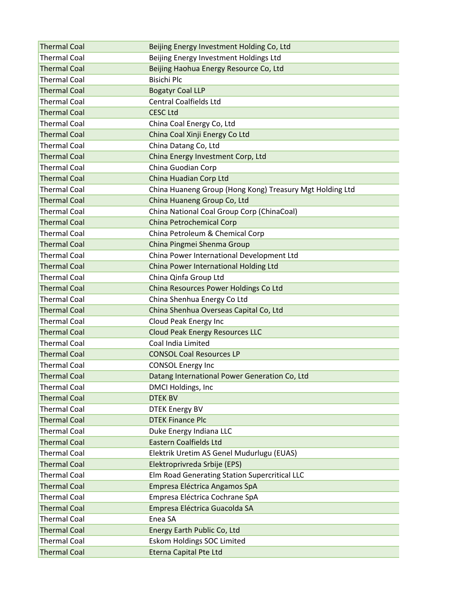| <b>Thermal Coal</b> | Beijing Energy Investment Holding Co, Ltd                |
|---------------------|----------------------------------------------------------|
| <b>Thermal Coal</b> | Beijing Energy Investment Holdings Ltd                   |
| <b>Thermal Coal</b> | Beijing Haohua Energy Resource Co, Ltd                   |
| <b>Thermal Coal</b> | <b>Bisichi Plc</b>                                       |
| <b>Thermal Coal</b> | <b>Bogatyr Coal LLP</b>                                  |
| <b>Thermal Coal</b> | <b>Central Coalfields Ltd</b>                            |
| <b>Thermal Coal</b> | <b>CESC Ltd</b>                                          |
| <b>Thermal Coal</b> | China Coal Energy Co, Ltd                                |
| <b>Thermal Coal</b> | China Coal Xinji Energy Co Ltd                           |
| <b>Thermal Coal</b> | China Datang Co, Ltd                                     |
| <b>Thermal Coal</b> | China Energy Investment Corp, Ltd                        |
| <b>Thermal Coal</b> | China Guodian Corp                                       |
| <b>Thermal Coal</b> | China Huadian Corp Ltd                                   |
| <b>Thermal Coal</b> | China Huaneng Group (Hong Kong) Treasury Mgt Holding Ltd |
| <b>Thermal Coal</b> | China Huaneng Group Co, Ltd                              |
| <b>Thermal Coal</b> | China National Coal Group Corp (ChinaCoal)               |
| <b>Thermal Coal</b> | <b>China Petrochemical Corp</b>                          |
| <b>Thermal Coal</b> | China Petroleum & Chemical Corp                          |
| <b>Thermal Coal</b> | China Pingmei Shenma Group                               |
| <b>Thermal Coal</b> | China Power International Development Ltd                |
| <b>Thermal Coal</b> | China Power International Holding Ltd                    |
| <b>Thermal Coal</b> | China Qinfa Group Ltd                                    |
| <b>Thermal Coal</b> | China Resources Power Holdings Co Ltd                    |
| <b>Thermal Coal</b> | China Shenhua Energy Co Ltd                              |
| <b>Thermal Coal</b> | China Shenhua Overseas Capital Co, Ltd                   |
| <b>Thermal Coal</b> | Cloud Peak Energy Inc                                    |
| <b>Thermal Coal</b> | <b>Cloud Peak Energy Resources LLC</b>                   |
| <b>Thermal Coal</b> | Coal India Limited                                       |
| <b>Thermal Coal</b> | <b>CONSOL Coal Resources LP</b>                          |
| <b>Thermal Coal</b> | <b>CONSOL Energy Inc</b>                                 |
| <b>Thermal Coal</b> | Datang International Power Generation Co, Ltd            |
| <b>Thermal Coal</b> | DMCI Holdings, Inc                                       |
| <b>Thermal Coal</b> | <b>DTEK BV</b>                                           |
| <b>Thermal Coal</b> | <b>DTEK Energy BV</b>                                    |
| <b>Thermal Coal</b> | <b>DTEK Finance Plc</b>                                  |
| <b>Thermal Coal</b> | Duke Energy Indiana LLC                                  |
| <b>Thermal Coal</b> | <b>Eastern Coalfields Ltd</b>                            |
| <b>Thermal Coal</b> | Elektrik Uretim AS Genel Mudurlugu (EUAS)                |
| <b>Thermal Coal</b> | Elektroprivreda Srbije (EPS)                             |
| <b>Thermal Coal</b> | Elm Road Generating Station Supercritical LLC            |
| <b>Thermal Coal</b> | Empresa Eléctrica Angamos SpA                            |
| <b>Thermal Coal</b> | Empresa Eléctrica Cochrane SpA                           |
| <b>Thermal Coal</b> | Empresa Eléctrica Guacolda SA                            |
| <b>Thermal Coal</b> | Enea SA                                                  |
| <b>Thermal Coal</b> | Energy Earth Public Co, Ltd                              |
| <b>Thermal Coal</b> | <b>Eskom Holdings SOC Limited</b>                        |
| <b>Thermal Coal</b> | <b>Eterna Capital Pte Ltd</b>                            |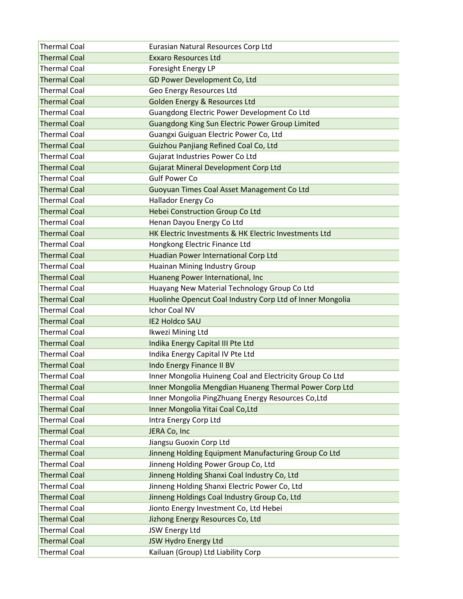| <b>Thermal Coal</b> | Eurasian Natural Resources Corp Ltd                       |
|---------------------|-----------------------------------------------------------|
| <b>Thermal Coal</b> | <b>Exxaro Resources Ltd</b>                               |
| <b>Thermal Coal</b> | Foresight Energy LP                                       |
| <b>Thermal Coal</b> | GD Power Development Co, Ltd                              |
| <b>Thermal Coal</b> | Geo Energy Resources Ltd                                  |
| <b>Thermal Coal</b> | Golden Energy & Resources Ltd                             |
| <b>Thermal Coal</b> | Guangdong Electric Power Development Co Ltd               |
| <b>Thermal Coal</b> | Guangdong King Sun Electric Power Group Limited           |
| <b>Thermal Coal</b> | Guangxi Guiguan Electric Power Co, Ltd                    |
| <b>Thermal Coal</b> | Guizhou Panjiang Refined Coal Co, Ltd                     |
| <b>Thermal Coal</b> | Gujarat Industries Power Co Ltd                           |
| <b>Thermal Coal</b> | <b>Gujarat Mineral Development Corp Ltd</b>               |
| <b>Thermal Coal</b> | <b>Gulf Power Co</b>                                      |
| <b>Thermal Coal</b> | Guoyuan Times Coal Asset Management Co Ltd                |
| <b>Thermal Coal</b> | Hallador Energy Co                                        |
| <b>Thermal Coal</b> | Hebei Construction Group Co Ltd                           |
| <b>Thermal Coal</b> | Henan Dayou Energy Co Ltd                                 |
| <b>Thermal Coal</b> | HK Electric Investments & HK Electric Investments Ltd     |
| <b>Thermal Coal</b> | Hongkong Electric Finance Ltd                             |
| <b>Thermal Coal</b> | Huadian Power International Corp Ltd                      |
| <b>Thermal Coal</b> | Huainan Mining Industry Group                             |
| <b>Thermal Coal</b> | Huaneng Power International, Inc                          |
| <b>Thermal Coal</b> | Huayang New Material Technology Group Co Ltd              |
| <b>Thermal Coal</b> | Huolinhe Opencut Coal Industry Corp Ltd of Inner Mongolia |
| <b>Thermal Coal</b> | <b>Ichor Coal NV</b>                                      |
| <b>Thermal Coal</b> | <b>IE2 Holdco SAU</b>                                     |
| <b>Thermal Coal</b> | Ikwezi Mining Ltd                                         |
| <b>Thermal Coal</b> | Indika Energy Capital III Pte Ltd                         |
| <b>Thermal Coal</b> | Indika Energy Capital IV Pte Ltd                          |
| <b>Thermal Coal</b> | Indo Energy Finance II BV                                 |
| <b>Thermal Coal</b> | Inner Mongolia Huineng Coal and Electricity Group Co Ltd  |
| <b>Thermal Coal</b> | Inner Mongolia Mengdian Huaneng Thermal Power Corp Ltd    |
| <b>Thermal Coal</b> | Inner Mongolia PingZhuang Energy Resources Co,Ltd         |
| <b>Thermal Coal</b> | Inner Mongolia Yitai Coal Co,Ltd                          |
| <b>Thermal Coal</b> | Intra Energy Corp Ltd                                     |
| <b>Thermal Coal</b> | JERA Co, Inc                                              |
| <b>Thermal Coal</b> | Jiangsu Guoxin Corp Ltd                                   |
| <b>Thermal Coal</b> | Jinneng Holding Equipment Manufacturing Group Co Ltd      |
| <b>Thermal Coal</b> | Jinneng Holding Power Group Co, Ltd                       |
| <b>Thermal Coal</b> | Jinneng Holding Shanxi Coal Industry Co, Ltd              |
| <b>Thermal Coal</b> | Jinneng Holding Shanxi Electric Power Co, Ltd             |
| <b>Thermal Coal</b> | Jinneng Holdings Coal Industry Group Co, Ltd              |
| <b>Thermal Coal</b> | Jionto Energy Investment Co, Ltd Hebei                    |
| <b>Thermal Coal</b> | Jizhong Energy Resources Co, Ltd                          |
| <b>Thermal Coal</b> | <b>JSW Energy Ltd</b>                                     |
| <b>Thermal Coal</b> | JSW Hydro Energy Ltd                                      |
| <b>Thermal Coal</b> | Kailuan (Group) Ltd Liability Corp                        |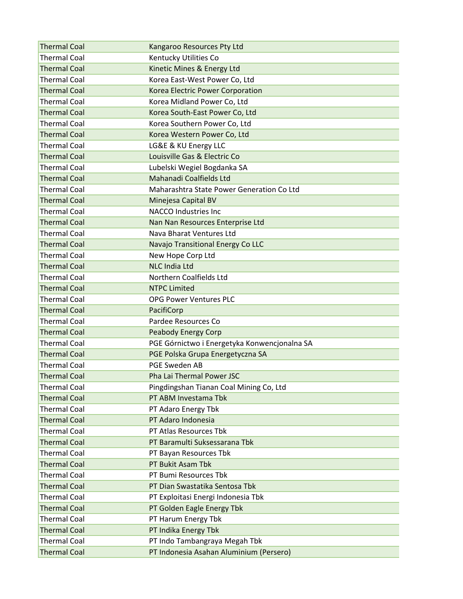| <b>Thermal Coal</b> | Kangaroo Resources Pty Ltd                   |
|---------------------|----------------------------------------------|
| <b>Thermal Coal</b> | Kentucky Utilities Co                        |
| <b>Thermal Coal</b> | Kinetic Mines & Energy Ltd                   |
| <b>Thermal Coal</b> | Korea East-West Power Co, Ltd                |
| <b>Thermal Coal</b> | Korea Electric Power Corporation             |
| <b>Thermal Coal</b> | Korea Midland Power Co, Ltd                  |
| <b>Thermal Coal</b> | Korea South-East Power Co, Ltd               |
| <b>Thermal Coal</b> | Korea Southern Power Co, Ltd                 |
| <b>Thermal Coal</b> | Korea Western Power Co, Ltd                  |
| <b>Thermal Coal</b> | LG&E & KU Energy LLC                         |
| <b>Thermal Coal</b> | Louisville Gas & Electric Co                 |
| <b>Thermal Coal</b> | Lubelski Wegiel Bogdanka SA                  |
| <b>Thermal Coal</b> | Mahanadi Coalfields Ltd                      |
| <b>Thermal Coal</b> | Maharashtra State Power Generation Co Ltd    |
| <b>Thermal Coal</b> | Minejesa Capital BV                          |
| <b>Thermal Coal</b> | <b>NACCO Industries Inc</b>                  |
| <b>Thermal Coal</b> | Nan Nan Resources Enterprise Ltd             |
| <b>Thermal Coal</b> | Nava Bharat Ventures Ltd                     |
| <b>Thermal Coal</b> | Navajo Transitional Energy Co LLC            |
| <b>Thermal Coal</b> | New Hope Corp Ltd                            |
| <b>Thermal Coal</b> | <b>NLC India Ltd</b>                         |
| <b>Thermal Coal</b> | Northern Coalfields Ltd                      |
| <b>Thermal Coal</b> | <b>NTPC Limited</b>                          |
| <b>Thermal Coal</b> | <b>OPG Power Ventures PLC</b>                |
| <b>Thermal Coal</b> | PacifiCorp                                   |
| <b>Thermal Coal</b> | Pardee Resources Co                          |
| <b>Thermal Coal</b> | <b>Peabody Energy Corp</b>                   |
| <b>Thermal Coal</b> | PGE Górnictwo i Energetyka Konwencjonalna SA |
| <b>Thermal Coal</b> | PGE Polska Grupa Energetyczna SA             |
| <b>Thermal Coal</b> | <b>PGE Sweden AB</b>                         |
| <b>Thermal Coal</b> | <b>Pha Lai Thermal Power JSC</b>             |
| <b>Thermal Coal</b> | Pingdingshan Tianan Coal Mining Co, Ltd      |
| <b>Thermal Coal</b> | PT ABM Investama Tbk                         |
| <b>Thermal Coal</b> | PT Adaro Energy Tbk                          |
| <b>Thermal Coal</b> | PT Adaro Indonesia                           |
| <b>Thermal Coal</b> | PT Atlas Resources Tbk                       |
| <b>Thermal Coal</b> | PT Baramulti Suksessarana Tbk                |
| <b>Thermal Coal</b> | PT Bayan Resources Tbk                       |
| <b>Thermal Coal</b> | PT Bukit Asam Tbk                            |
| <b>Thermal Coal</b> | PT Bumi Resources Tbk                        |
| <b>Thermal Coal</b> | PT Dian Swastatika Sentosa Tbk               |
| <b>Thermal Coal</b> | PT Exploitasi Energi Indonesia Tbk           |
| <b>Thermal Coal</b> | PT Golden Eagle Energy Tbk                   |
| <b>Thermal Coal</b> | PT Harum Energy Tbk                          |
| <b>Thermal Coal</b> | PT Indika Energy Tbk                         |
| <b>Thermal Coal</b> | PT Indo Tambangraya Megah Tbk                |
| <b>Thermal Coal</b> | PT Indonesia Asahan Aluminium (Persero)      |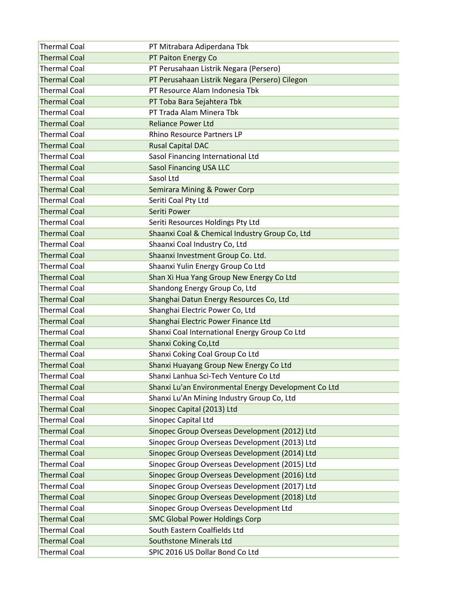| <b>Thermal Coal</b> | PT Mitrabara Adiperdana Tbk                          |
|---------------------|------------------------------------------------------|
| <b>Thermal Coal</b> | PT Paiton Energy Co                                  |
| <b>Thermal Coal</b> | PT Perusahaan Listrik Negara (Persero)               |
| <b>Thermal Coal</b> | PT Perusahaan Listrik Negara (Persero) Cilegon       |
| <b>Thermal Coal</b> | PT Resource Alam Indonesia Tbk                       |
| <b>Thermal Coal</b> | PT Toba Bara Sejahtera Tbk                           |
| <b>Thermal Coal</b> | PT Trada Alam Minera Tbk                             |
| <b>Thermal Coal</b> | <b>Reliance Power Ltd</b>                            |
| <b>Thermal Coal</b> | <b>Rhino Resource Partners LP</b>                    |
| <b>Thermal Coal</b> | <b>Rusal Capital DAC</b>                             |
| <b>Thermal Coal</b> | Sasol Financing International Ltd                    |
| <b>Thermal Coal</b> | <b>Sasol Financing USA LLC</b>                       |
| <b>Thermal Coal</b> | Sasol Ltd                                            |
| <b>Thermal Coal</b> | Semirara Mining & Power Corp                         |
| <b>Thermal Coal</b> | Seriti Coal Pty Ltd                                  |
| <b>Thermal Coal</b> | Seriti Power                                         |
| <b>Thermal Coal</b> | Seriti Resources Holdings Pty Ltd                    |
| <b>Thermal Coal</b> | Shaanxi Coal & Chemical Industry Group Co, Ltd       |
| <b>Thermal Coal</b> | Shaanxi Coal Industry Co, Ltd                        |
| <b>Thermal Coal</b> | Shaanxi Investment Group Co. Ltd.                    |
| <b>Thermal Coal</b> | Shaanxi Yulin Energy Group Co Ltd                    |
| <b>Thermal Coal</b> | Shan Xi Hua Yang Group New Energy Co Ltd             |
| <b>Thermal Coal</b> | Shandong Energy Group Co, Ltd                        |
| <b>Thermal Coal</b> | Shanghai Datun Energy Resources Co, Ltd              |
| <b>Thermal Coal</b> | Shanghai Electric Power Co, Ltd                      |
| <b>Thermal Coal</b> | Shanghai Electric Power Finance Ltd                  |
| <b>Thermal Coal</b> | Shanxi Coal International Energy Group Co Ltd        |
| <b>Thermal Coal</b> | <b>Shanxi Coking Co, Ltd</b>                         |
| <b>Thermal Coal</b> | Shanxi Coking Coal Group Co Ltd                      |
| <b>Thermal Coal</b> | Shanxi Huayang Group New Energy Co Ltd               |
| <b>Thermal Coal</b> | Shanxi Lanhua Sci-Tech Venture Co Ltd                |
| <b>Thermal Coal</b> | Shanxi Lu'an Environmental Energy Development Co Ltd |
| <b>Thermal Coal</b> | Shanxi Lu'An Mining Industry Group Co, Ltd           |
| <b>Thermal Coal</b> | Sinopec Capital (2013) Ltd                           |
| <b>Thermal Coal</b> | Sinopec Capital Ltd                                  |
| <b>Thermal Coal</b> | Sinopec Group Overseas Development (2012) Ltd        |
| <b>Thermal Coal</b> | Sinopec Group Overseas Development (2013) Ltd        |
| <b>Thermal Coal</b> | Sinopec Group Overseas Development (2014) Ltd        |
| <b>Thermal Coal</b> | Sinopec Group Overseas Development (2015) Ltd        |
| <b>Thermal Coal</b> | Sinopec Group Overseas Development (2016) Ltd        |
| <b>Thermal Coal</b> | Sinopec Group Overseas Development (2017) Ltd        |
| <b>Thermal Coal</b> | Sinopec Group Overseas Development (2018) Ltd        |
| <b>Thermal Coal</b> | Sinopec Group Overseas Development Ltd               |
| <b>Thermal Coal</b> | <b>SMC Global Power Holdings Corp</b>                |
| <b>Thermal Coal</b> | South Eastern Coalfields Ltd                         |
| <b>Thermal Coal</b> | <b>Southstone Minerals Ltd</b>                       |
| <b>Thermal Coal</b> | SPIC 2016 US Dollar Bond Co Ltd                      |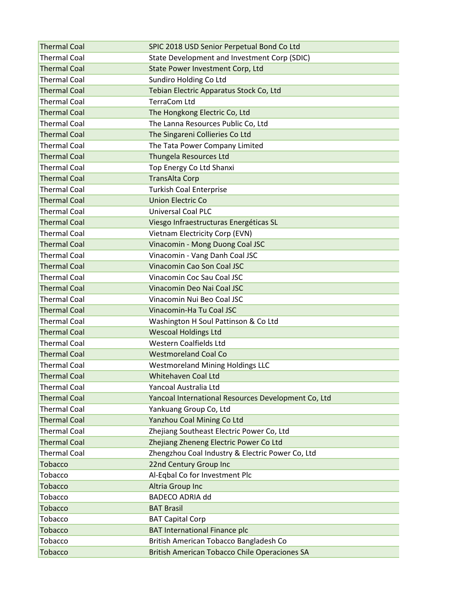| <b>Thermal Coal</b> | SPIC 2018 USD Senior Perpetual Bond Co Ltd           |
|---------------------|------------------------------------------------------|
| <b>Thermal Coal</b> | State Development and Investment Corp (SDIC)         |
| <b>Thermal Coal</b> | State Power Investment Corp, Ltd                     |
| <b>Thermal Coal</b> | Sundiro Holding Co Ltd                               |
| <b>Thermal Coal</b> | Tebian Electric Apparatus Stock Co, Ltd              |
| <b>Thermal Coal</b> | <b>TerraCom Ltd</b>                                  |
| <b>Thermal Coal</b> | The Hongkong Electric Co, Ltd                        |
| <b>Thermal Coal</b> | The Lanna Resources Public Co, Ltd                   |
| <b>Thermal Coal</b> | The Singareni Collieries Co Ltd                      |
| <b>Thermal Coal</b> | The Tata Power Company Limited                       |
| <b>Thermal Coal</b> | Thungela Resources Ltd                               |
| <b>Thermal Coal</b> | Top Energy Co Ltd Shanxi                             |
| <b>Thermal Coal</b> | <b>TransAlta Corp</b>                                |
| <b>Thermal Coal</b> | <b>Turkish Coal Enterprise</b>                       |
| <b>Thermal Coal</b> | <b>Union Electric Co</b>                             |
| <b>Thermal Coal</b> | <b>Universal Coal PLC</b>                            |
| <b>Thermal Coal</b> | Viesgo Infraestructuras Energéticas SL               |
| <b>Thermal Coal</b> | Vietnam Electricity Corp (EVN)                       |
| <b>Thermal Coal</b> | Vinacomin - Mong Duong Coal JSC                      |
| <b>Thermal Coal</b> | Vinacomin - Vang Danh Coal JSC                       |
| <b>Thermal Coal</b> | Vinacomin Cao Son Coal JSC                           |
| <b>Thermal Coal</b> | Vinacomin Coc Sau Coal JSC                           |
| <b>Thermal Coal</b> | Vinacomin Deo Nai Coal JSC                           |
| <b>Thermal Coal</b> | Vinacomin Nui Beo Coal JSC                           |
| <b>Thermal Coal</b> | Vinacomin-Ha Tu Coal JSC                             |
| <b>Thermal Coal</b> | Washington H Soul Pattinson & Co Ltd                 |
| <b>Thermal Coal</b> | <b>Wescoal Holdings Ltd</b>                          |
| <b>Thermal Coal</b> | Western Coalfields Ltd                               |
| <b>Thermal Coal</b> | <b>Westmoreland Coal Co</b>                          |
| <b>Thermal Coal</b> | <b>Westmoreland Mining Holdings LLC</b>              |
| <b>Thermal Coal</b> | <b>Whitehaven Coal Ltd</b>                           |
| <b>Thermal Coal</b> | Yancoal Australia Ltd                                |
| <b>Thermal Coal</b> | Yancoal International Resources Development Co, Ltd  |
| <b>Thermal Coal</b> | Yankuang Group Co, Ltd                               |
| <b>Thermal Coal</b> | Yanzhou Coal Mining Co Ltd                           |
| <b>Thermal Coal</b> | Zhejiang Southeast Electric Power Co, Ltd            |
| <b>Thermal Coal</b> | Zhejiang Zheneng Electric Power Co Ltd               |
| <b>Thermal Coal</b> | Zhengzhou Coal Industry & Electric Power Co, Ltd     |
| <b>Tobacco</b>      | 22nd Century Group Inc                               |
| Tobacco             | Al-Eqbal Co for Investment Plc                       |
| <b>Tobacco</b>      | Altria Group Inc                                     |
| Tobacco             | <b>BADECO ADRIA dd</b>                               |
| <b>Tobacco</b>      | <b>BAT Brasil</b>                                    |
| Tobacco             | <b>BAT Capital Corp</b>                              |
| <b>Tobacco</b>      | <b>BAT International Finance plc</b>                 |
| Tobacco             | British American Tobacco Bangladesh Co               |
| <b>Tobacco</b>      | <b>British American Tobacco Chile Operaciones SA</b> |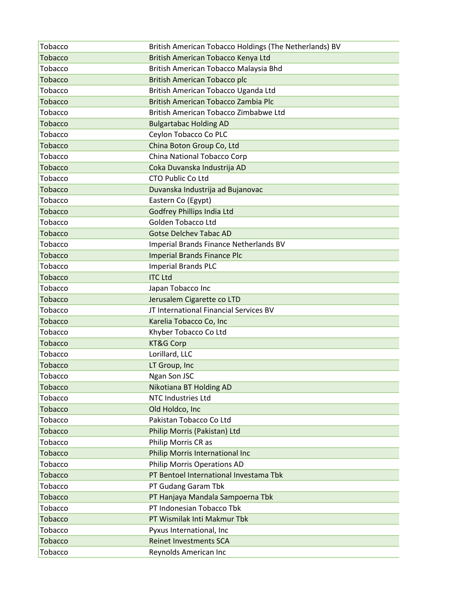| Tobacco        | British American Tobacco Holdings (The Netherlands) BV |
|----------------|--------------------------------------------------------|
| <b>Tobacco</b> | British American Tobacco Kenya Ltd                     |
| Tobacco        | British American Tobacco Malaysia Bhd                  |
| <b>Tobacco</b> | <b>British American Tobacco plc</b>                    |
| Tobacco        | British American Tobacco Uganda Ltd                    |
| Tobacco        | British American Tobacco Zambia Plc                    |
| Tobacco        | British American Tobacco Zimbabwe Ltd                  |
| <b>Tobacco</b> | <b>Bulgartabac Holding AD</b>                          |
| Tobacco        | Ceylon Tobacco Co PLC                                  |
| <b>Tobacco</b> | China Boton Group Co, Ltd                              |
| Tobacco        | China National Tobacco Corp                            |
| <b>Tobacco</b> | Coka Duvanska Industrija AD                            |
| Tobacco        | CTO Public Co Ltd                                      |
| <b>Tobacco</b> | Duvanska Industrija ad Bujanovac                       |
| Tobacco        | Eastern Co (Egypt)                                     |
| <b>Tobacco</b> | Godfrey Phillips India Ltd                             |
| Tobacco        | Golden Tobacco Ltd                                     |
| Tobacco        | <b>Gotse Delchev Tabac AD</b>                          |
| Tobacco        | Imperial Brands Finance Netherlands BV                 |
| <b>Tobacco</b> | <b>Imperial Brands Finance Plc</b>                     |
| Tobacco        | <b>Imperial Brands PLC</b>                             |
| <b>Tobacco</b> | <b>ITC Ltd</b>                                         |
| Tobacco        | Japan Tobacco Inc                                      |
| <b>Tobacco</b> | Jerusalem Cigarette co LTD                             |
| Tobacco        | JT International Financial Services BV                 |
| <b>Tobacco</b> | Karelia Tobacco Co, Inc                                |
| Tobacco        | Khyber Tobacco Co Ltd                                  |
| <b>Tobacco</b> | KT&G Corp                                              |
| Tobacco        | Lorillard, LLC                                         |
| <b>Tobacco</b> | LT Group, Inc                                          |
| Tobacco        | Ngan Son JSC                                           |
| <b>Tobacco</b> | Nikotiana BT Holding AD                                |
| Tobacco        | NTC Industries Ltd                                     |
| <b>Tobacco</b> | Old Holdco, Inc                                        |
| Tobacco        | Pakistan Tobacco Co Ltd                                |
| <b>Tobacco</b> | Philip Morris (Pakistan) Ltd                           |
| Tobacco        | Philip Morris CR as                                    |
| <b>Tobacco</b> | Philip Morris International Inc                        |
| Tobacco        | <b>Philip Morris Operations AD</b>                     |
| <b>Tobacco</b> | PT Bentoel International Investama Tbk                 |
| Tobacco        | PT Gudang Garam Tbk                                    |
| Tobacco        | PT Hanjaya Mandala Sampoerna Tbk                       |
| Tobacco        | PT Indonesian Tobacco Tbk                              |
| <b>Tobacco</b> | PT Wismilak Inti Makmur Tbk                            |
| Tobacco        | Pyxus International, Inc                               |
| <b>Tobacco</b> | <b>Reinet Investments SCA</b>                          |
| Tobacco        | Reynolds American Inc                                  |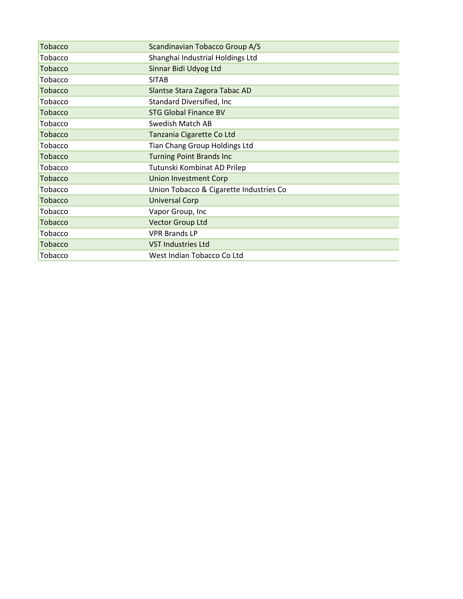| Tobacco        | Scandinavian Tobacco Group A/S          |
|----------------|-----------------------------------------|
| Tobacco        | Shanghai Industrial Holdings Ltd        |
| <b>Tobacco</b> | Sinnar Bidi Udyog Ltd                   |
| Tobacco        | <b>SITAB</b>                            |
| <b>Tobacco</b> | Slantse Stara Zagora Tabac AD           |
| Tobacco        | Standard Diversified, Inc               |
| Tobacco        | <b>STG Global Finance BV</b>            |
| Tobacco        | Swedish Match AB                        |
| <b>Tobacco</b> | Tanzania Cigarette Co Ltd               |
| Tobacco        | Tian Chang Group Holdings Ltd           |
| <b>Tobacco</b> | <b>Turning Point Brands Inc</b>         |
| Tobacco        | Tutunski Kombinat AD Prilep             |
| <b>Tobacco</b> | <b>Union Investment Corp</b>            |
| Tobacco        | Union Tobacco & Cigarette Industries Co |
| <b>Tobacco</b> | <b>Universal Corp</b>                   |
| Tobacco        | Vapor Group, Inc                        |
| <b>Tobacco</b> | <b>Vector Group Ltd</b>                 |
| Tobacco        | <b>VPR Brands LP</b>                    |
| Tobacco        | <b>VST Industries Ltd</b>               |
| Tobacco        | West Indian Tobacco Co Ltd              |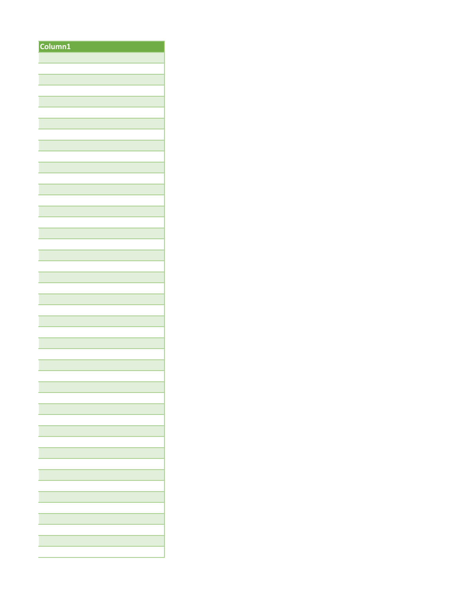| Column1 |  |
|---------|--|
|         |  |
|         |  |
|         |  |
|         |  |
|         |  |
|         |  |
|         |  |
|         |  |
|         |  |
|         |  |
|         |  |
|         |  |
|         |  |
|         |  |
|         |  |
|         |  |
|         |  |
|         |  |
|         |  |
|         |  |
|         |  |
|         |  |
|         |  |
|         |  |
|         |  |
|         |  |
|         |  |
|         |  |
|         |  |
|         |  |
|         |  |
|         |  |
|         |  |
|         |  |
|         |  |
|         |  |
|         |  |
|         |  |
|         |  |
|         |  |
|         |  |
|         |  |
|         |  |
|         |  |
|         |  |
|         |  |
|         |  |
|         |  |
|         |  |
|         |  |
|         |  |
|         |  |
|         |  |
|         |  |
|         |  |
|         |  |
|         |  |
|         |  |
|         |  |
|         |  |
|         |  |
|         |  |
|         |  |
|         |  |
|         |  |
|         |  |
|         |  |
|         |  |
|         |  |
|         |  |
|         |  |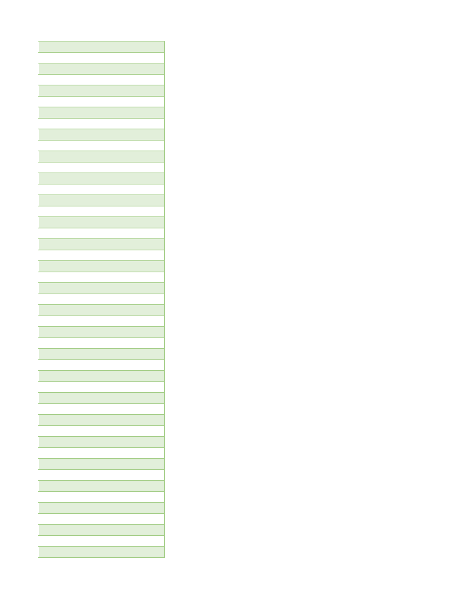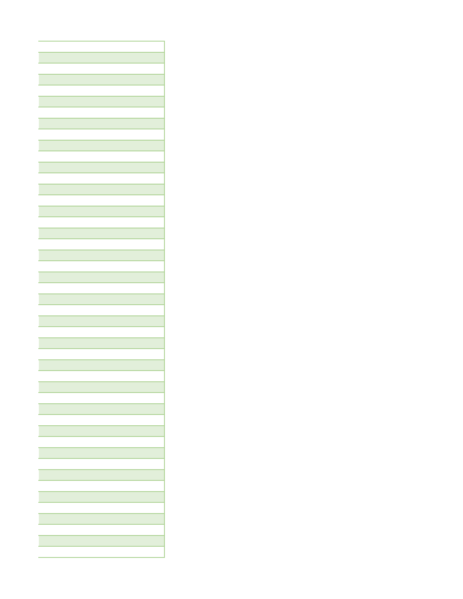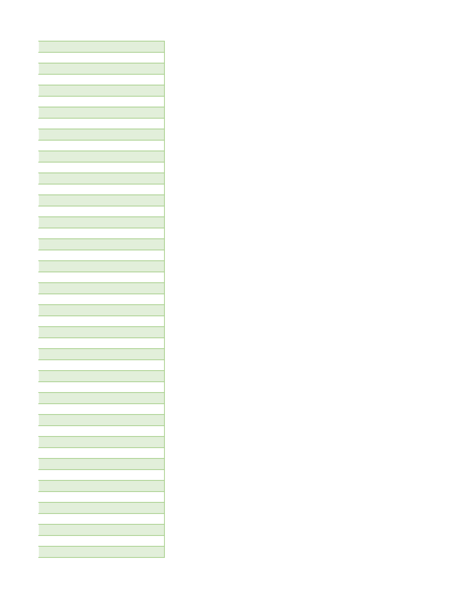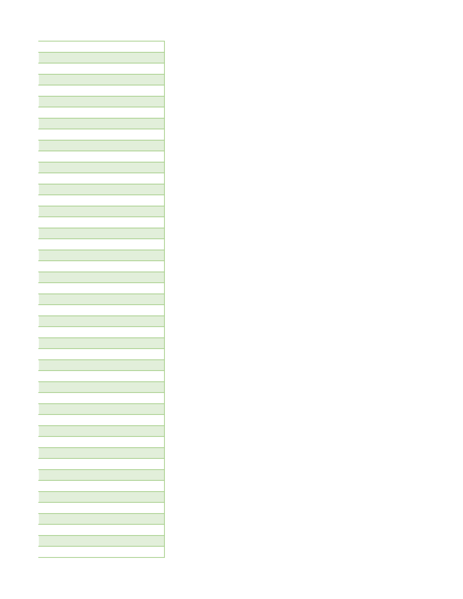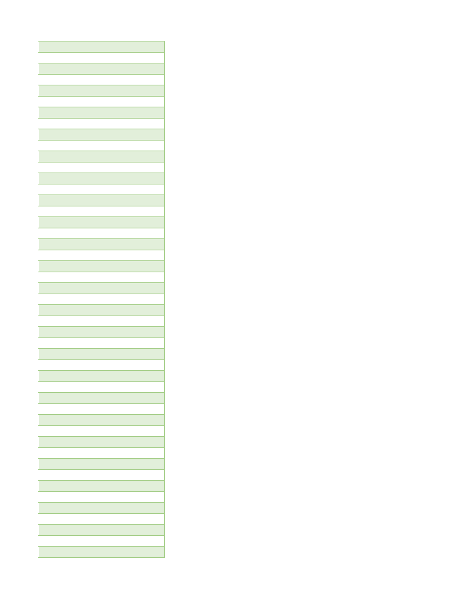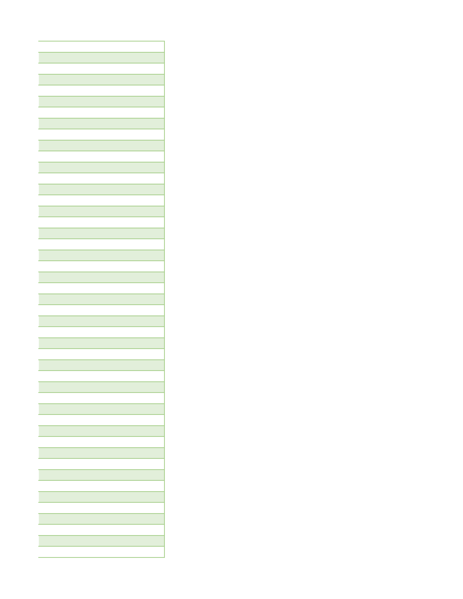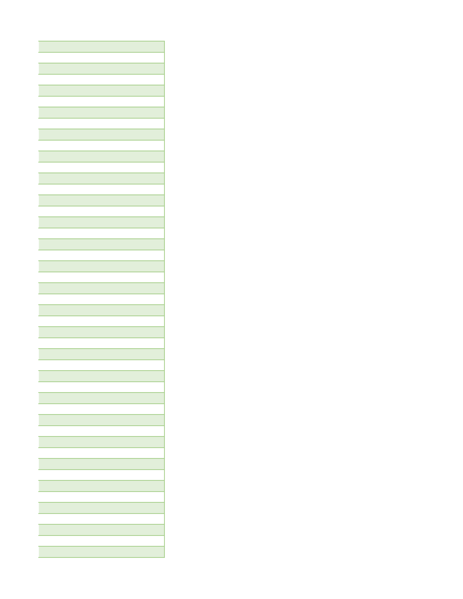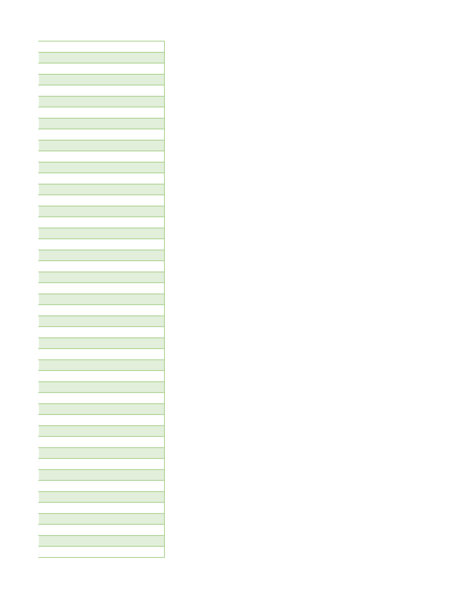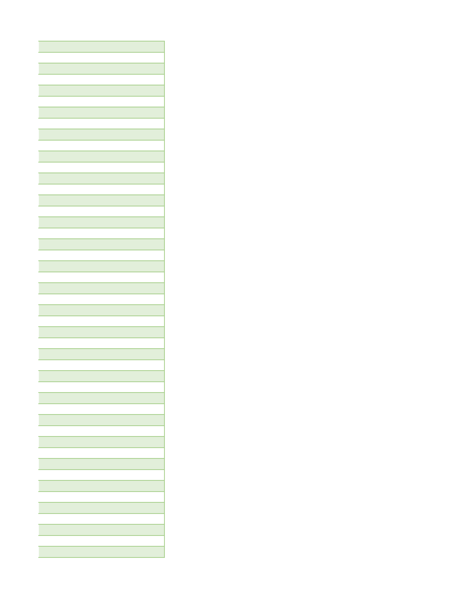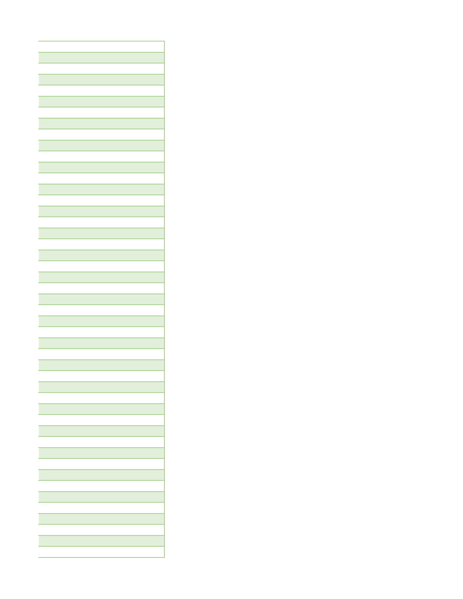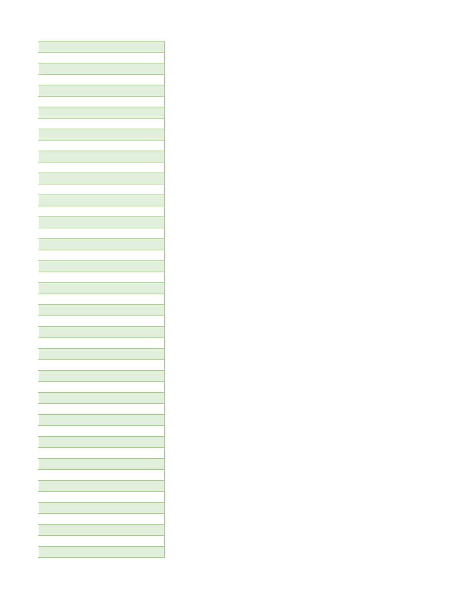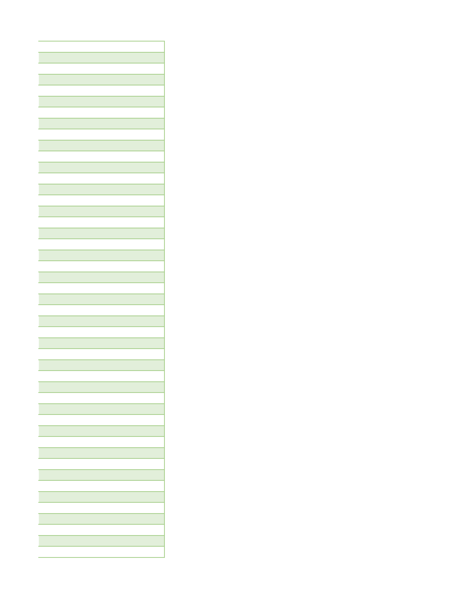